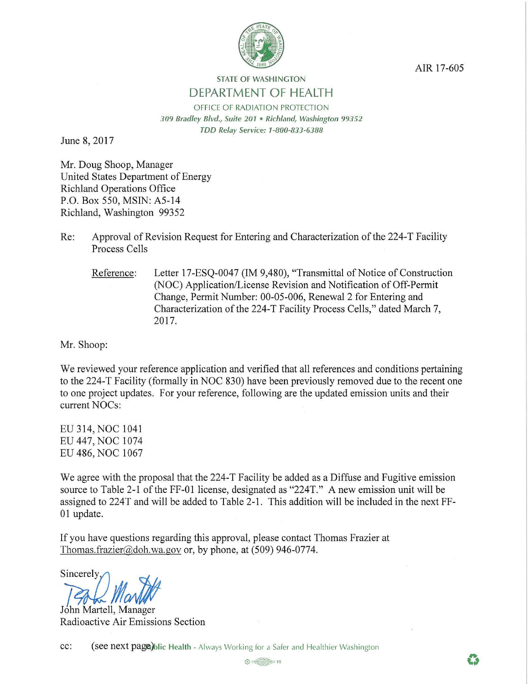

AIR 17-605

## **STATE OF WASHINGTON DEPARTMENT OF HEALTH**

OFFICE OF RADIATION PROTECTION *3 09 Bradley Blvd., Suite 201* • *Richland, Washington 99352 TDD Relay Service: 1-800-833-6388* 

June 8, 2017

Mr. Doug Shoop, Manager United States Department of Energy Richland Operations Office P.O. Box 550, MSIN: A5-14 Richland, Washington 99352

- Re: Approval of Revision Request for Entering and Characterization of the 224-T Facility Process Cells
	- Reference: Letter 17-ESQ-0047 (IM 9,480), "Transmittal of Notice of Construction (NOC) Application/License Revision and Notification of Off-Permit Change, Permit Number: 00-05-006, Renewal 2 for Entering and Characterization of the 224-T Facility Process Cells," dated March 7, 2017.

Mr. Shoop:

We reviewed your reference application and verified that all references and conditions pertaining to the 224-T Facility (formally in NOC 830) have been previously removed due to the recent one to one project updates. For your reference, following are the updated emission units and their current NOCs:

EU 314, NOC 1041 EU 447, NOC 1074 EU 486, NOC 1067

We agree with the proposal that the 224-T Facility be added as a Diffuse and Fugitive emission source to Table 2-1 of the FF-01 license, designated as "224T." A new emission unit will be assigned to 224T and will be added to Table 2-1. This addition will be included in the next FF-01 update.

If you have questions regarding this approval, please contact Thomas Frazier at Thomas.frazier@doh.wa.gov or, by phone, at  $(509)$  946-0774.

sincerely Martitt

John Martell, Manager Radioactive Air Emissions Section